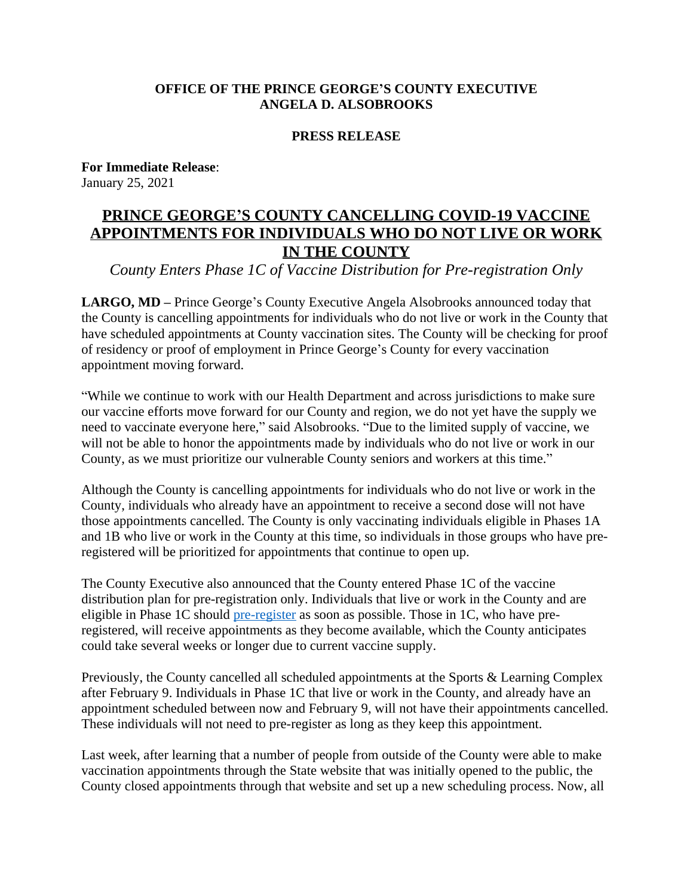## **OFFICE OF THE PRINCE GEORGE'S COUNTY EXECUTIVE ANGELA D. ALSOBROOKS**

## **PRESS RELEASE**

**For Immediate Release**: January 25, 2021

## **PRINCE GEORGE'S COUNTY CANCELLING COVID-19 VACCINE APPOINTMENTS FOR INDIVIDUALS WHO DO NOT LIVE OR WORK IN THE COUNTY**

*County Enters Phase 1C of Vaccine Distribution for Pre-registration Only*

**LARGO, MD –** Prince George's County Executive Angela Alsobrooks announced today that the County is cancelling appointments for individuals who do not live or work in the County that have scheduled appointments at County vaccination sites. The County will be checking for proof of residency or proof of employment in Prince George's County for every vaccination appointment moving forward.

"While we continue to work with our Health Department and across jurisdictions to make sure our vaccine efforts move forward for our County and region, we do not yet have the supply we need to vaccinate everyone here," said Alsobrooks. "Due to the limited supply of vaccine, we will not be able to honor the appointments made by individuals who do not live or work in our County, as we must prioritize our vulnerable County seniors and workers at this time."

Although the County is cancelling appointments for individuals who do not live or work in the County, individuals who already have an appointment to receive a second dose will not have those appointments cancelled. The County is only vaccinating individuals eligible in Phases 1A and 1B who live or work in the County at this time, so individuals in those groups who have preregistered will be prioritized for appointments that continue to open up.

The County Executive also announced that the County entered Phase 1C of the vaccine distribution plan for pre-registration only. Individuals that live or work in the County and are eligible in Phase 1C should [pre-register](https://covid19vaccination.princegeorgescountymd.gov/) as soon as possible. Those in 1C, who have preregistered, will receive appointments as they become available, which the County anticipates could take several weeks or longer due to current vaccine supply.

Previously, the County cancelled all scheduled appointments at the Sports & Learning Complex after February 9. Individuals in Phase 1C that live or work in the County, and already have an appointment scheduled between now and February 9, will not have their appointments cancelled. These individuals will not need to pre-register as long as they keep this appointment.

Last week, after learning that a number of people from outside of the County were able to make vaccination appointments through the State website that was initially opened to the public, the County closed appointments through that website and set up a new scheduling process. Now, all